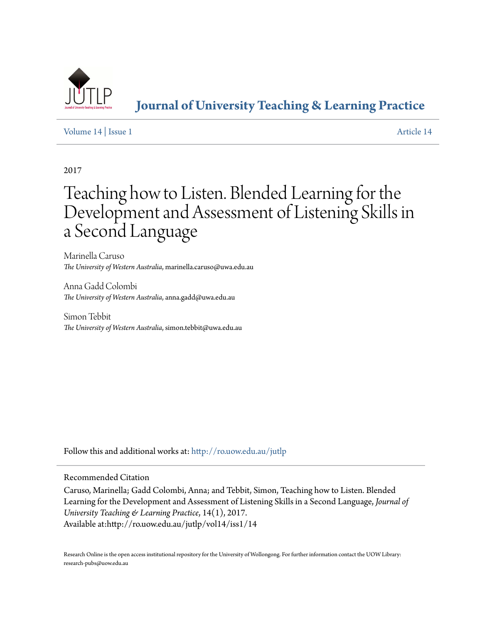

**[Journal of University Teaching & Learning Practice](http://ro.uow.edu.au/jutlp?utm_source=ro.uow.edu.au%2Fjutlp%2Fvol14%2Fiss1%2F14&utm_medium=PDF&utm_campaign=PDFCoverPages)**

## [Volume 14](http://ro.uow.edu.au/jutlp/vol14?utm_source=ro.uow.edu.au%2Fjutlp%2Fvol14%2Fiss1%2F14&utm_medium=PDF&utm_campaign=PDFCoverPages) | [Issue 1](http://ro.uow.edu.au/jutlp/vol14/iss1?utm_source=ro.uow.edu.au%2Fjutlp%2Fvol14%2Fiss1%2F14&utm_medium=PDF&utm_campaign=PDFCoverPages) [Article 14](http://ro.uow.edu.au/jutlp/vol14/iss1/14?utm_source=ro.uow.edu.au%2Fjutlp%2Fvol14%2Fiss1%2F14&utm_medium=PDF&utm_campaign=PDFCoverPages)

2017

# Teaching how to Listen. Blended Learning for the Development and Assessment of Listening Skills in a Second Language

Marinella Caruso *The University of Western Australia*, marinella.caruso@uwa.edu.au

Anna Gadd Colombi *The University of Western Australia*, anna.gadd@uwa.edu.au

Simon Tebbit *The University of Western Australia*, simon.tebbit@uwa.edu.au

Follow this and additional works at: [http://ro.uow.edu.au/jutlp](http://ro.uow.edu.au/jutlp?utm_source=ro.uow.edu.au%2Fjutlp%2Fvol14%2Fiss1%2F14&utm_medium=PDF&utm_campaign=PDFCoverPages)

## Recommended Citation

Caruso, Marinella; Gadd Colombi, Anna; and Tebbit, Simon, Teaching how to Listen. Blended Learning for the Development and Assessment of Listening Skills in a Second Language, *Journal of University Teaching & Learning Practice*, 14(1), 2017. Available at:http://ro.uow.edu.au/jutlp/vol14/iss1/14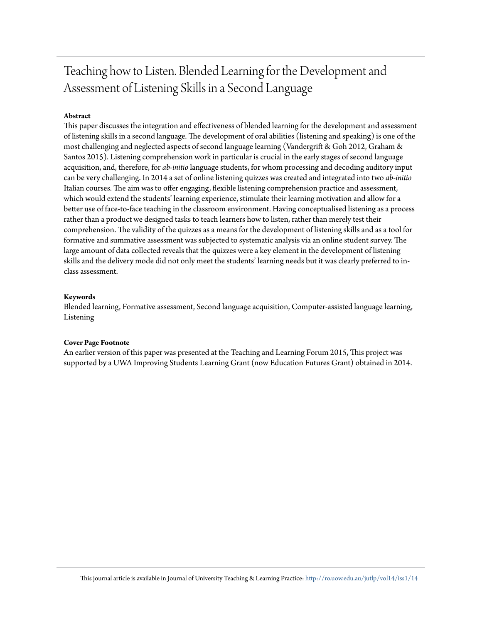## Teaching how to Listen. Blended Learning for the Development and Assessment of Listening Skills in a Second Language

## **Abstract**

This paper discusses the integration and effectiveness of blended learning for the development and assessment of listening skills in a second language. The development of oral abilities (listening and speaking) is one of the most challenging and neglected aspects of second language learning (Vandergrift & Goh 2012, Graham & Santos 2015). Listening comprehension work in particular is crucial in the early stages of second language acquisition, and, therefore, for *ab-initio* language students, for whom processing and decoding auditory input can be very challenging. In 2014 a set of online listening quizzes was created and integrated into two *ab-initio* Italian courses. The aim was to offer engaging, flexible listening comprehension practice and assessment, which would extend the students' learning experience, stimulate their learning motivation and allow for a better use of face-to-face teaching in the classroom environment. Having conceptualised listening as a process rather than a product we designed tasks to teach learners how to listen, rather than merely test their comprehension. The validity of the quizzes as a means for the development of listening skills and as a tool for formative and summative assessment was subjected to systematic analysis via an online student survey. The large amount of data collected reveals that the quizzes were a key element in the development of listening skills and the delivery mode did not only meet the students' learning needs but it was clearly preferred to inclass assessment.

#### **Keywords**

Blended learning, Formative assessment, Second language acquisition, Computer-assisted language learning, Listening

#### **Cover Page Footnote**

An earlier version of this paper was presented at the Teaching and Learning Forum 2015, This project was supported by a UWA Improving Students Learning Grant (now Education Futures Grant) obtained in 2014.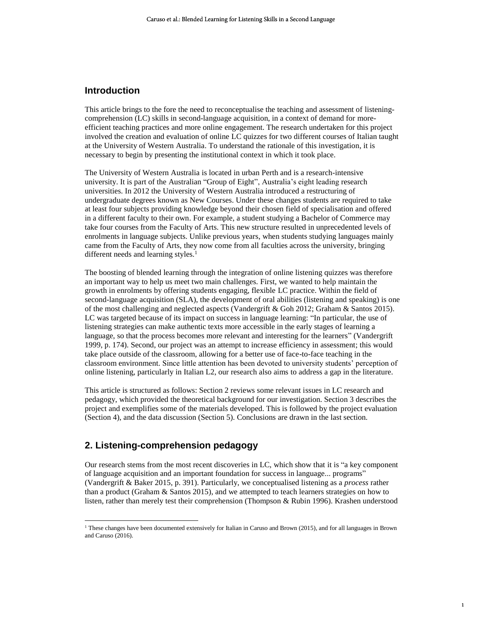## **Introduction**

This article brings to the fore the need to reconceptualise the teaching and assessment of listeningcomprehension (LC) skills in second-language acquisition, in a context of demand for moreefficient teaching practices and more online engagement. The research undertaken for this project involved the creation and evaluation of online LC quizzes for two different courses of Italian taught at the University of Western Australia. To understand the rationale of this investigation, it is necessary to begin by presenting the institutional context in which it took place.

The University of Western Australia is located in urban Perth and is a research-intensive university. It is part of the Australian "Group of Eight", Australia's eight leading research universities. In 2012 the University of Western Australia introduced a restructuring of undergraduate degrees known as New Courses. Under these changes students are required to take at least four subjects providing knowledge beyond their chosen field of specialisation and offered in a different faculty to their own. For example, a student studying a Bachelor of Commerce may take four courses from the Faculty of Arts. This new structure resulted in unprecedented levels of enrolments in language subjects. Unlike previous years, when students studying languages mainly came from the Faculty of Arts, they now come from all faculties across the university, bringing different needs and learning styles.<sup>1</sup>

The boosting of blended learning through the integration of online listening quizzes was therefore an important way to help us meet two main challenges. First, we wanted to help maintain the growth in enrolments by offering students engaging, flexible LC practice. Within the field of second-language acquisition (SLA), the development of oral abilities (listening and speaking) is one of the most challenging and neglected aspects (Vandergrift & Goh 2012; Graham & Santos 2015). LC was targeted because of its impact on success in language learning: "In particular, the use of listening strategies can make authentic texts more accessible in the early stages of learning a language, so that the process becomes more relevant and interesting for the learners" (Vandergrift 1999, p. 174). Second, our project was an attempt to increase efficiency in assessment; this would take place outside of the classroom, allowing for a better use of face-to-face teaching in the classroom environment. Since little attention has been devoted to university students' perception of online listening, particularly in Italian L2, our research also aims to address a gap in the literature.

This article is structured as follows: Section 2 reviews some relevant issues in LC research and pedagogy, which provided the theoretical background for our investigation. Section 3 describes the project and exemplifies some of the materials developed. This is followed by the project evaluation (Section 4), and the data discussion (Section 5). Conclusions are drawn in the last section.

## **2. Listening-comprehension pedagogy**

l

Our research stems from the most recent discoveries in LC, which show that it is "a key component of language acquisition and an important foundation for success in language... programs" (Vandergrift & Baker 2015, p. 391). Particularly, we conceptualised listening as a *process* rather than a product (Graham & Santos 2015), and we attempted to teach learners strategies on how to listen, rather than merely test their comprehension (Thompson & Rubin 1996). Krashen understood

1

<sup>&</sup>lt;sup>1</sup> These changes have been documented extensively for Italian in Caruso and Brown (2015), and for all languages in Brown and Caruso (2016).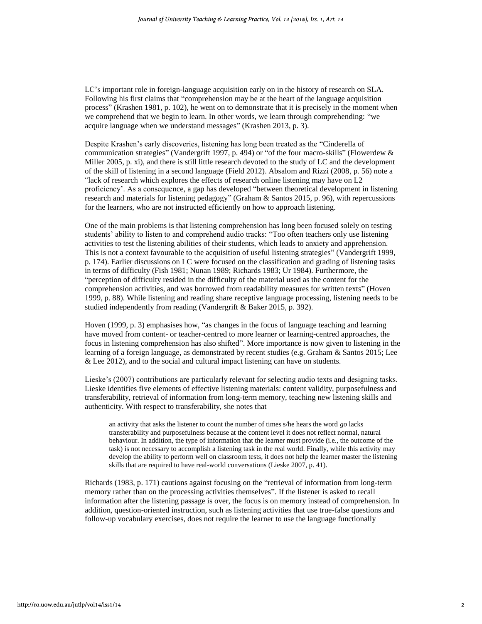LC's important role in foreign-language acquisition early on in the history of research on SLA. Following his first claims that "comprehension may be at the heart of the language acquisition process" (Krashen 1981, p. 102), he went on to demonstrate that it is precisely in the moment when we comprehend that we begin to learn. In other words, we learn through comprehending: "we acquire language when we understand messages" (Krashen 2013, p. 3).

Despite Krashen's early discoveries, listening has long been treated as the "Cinderella of communication strategies" (Vandergrift 1997, p. 494) or "of the four macro-skills" (Flowerdew & Miller 2005, p. xi), and there is still little research devoted to the study of LC and the development of the skill of listening in a second language (Field 2012). Absalom and Rizzi (2008, p. 56) note a "lack of research which explores the effects of research online listening may have on L2 proficiency'. As a consequence, a gap has developed "between theoretical development in listening research and materials for listening pedagogy" (Graham & Santos 2015, p. 96), with repercussions for the learners, who are not instructed efficiently on how to approach listening.

One of the main problems is that listening comprehension has long been focused solely on testing students' ability to listen to and comprehend audio tracks: "Too often teachers only use listening activities to test the listening abilities of their students, which leads to anxiety and apprehension. This is not a context favourable to the acquisition of useful listening strategies" (Vandergrift 1999, p. 174). Earlier discussions on LC were focused on the classification and grading of listening tasks in terms of difficulty (Fish 1981; Nunan 1989; Richards 1983; Ur 1984). Furthermore, the "perception of difficulty resided in the difficulty of the material used as the content for the comprehension activities, and was borrowed from readability measures for written texts" (Hoven 1999, p. 88). While listening and reading share receptive language processing, listening needs to be studied independently from reading (Vandergrift & Baker 2015, p. 392).

Hoven (1999, p. 3) emphasises how, "as changes in the focus of language teaching and learning have moved from content- or teacher-centred to more learner or learning-centred approaches, the focus in listening comprehension has also shifted". More importance is now given to listening in the learning of a foreign language, as demonstrated by recent studies (e.g. Graham & Santos 2015; Lee & Lee 2012), and to the social and cultural impact listening can have on students.

Lieske's (2007) contributions are particularly relevant for selecting audio texts and designing tasks. Lieske identifies five elements of effective listening materials: content validity, purposefulness and transferability, retrieval of information from long-term memory, teaching new listening skills and authenticity. With respect to transferability, she notes that

an activity that asks the listener to count the number of times s/he hears the word *go* lacks transferability and purposefulness because at the content level it does not reflect normal, natural behaviour. In addition, the type of information that the learner must provide (i.e., the outcome of the task) is not necessary to accomplish a listening task in the real world. Finally, while this activity may develop the ability to perform well on classroom tests, it does not help the learner master the listening skills that are required to have real-world conversations (Lieske 2007, p. 41).

Richards (1983, p. 171) cautions against focusing on the "retrieval of information from long-term memory rather than on the processing activities themselves". If the listener is asked to recall information after the listening passage is over, the focus is on memory instead of comprehension. In addition, question-oriented instruction, such as listening activities that use true-false questions and follow-up vocabulary exercises, does not require the learner to use the language functionally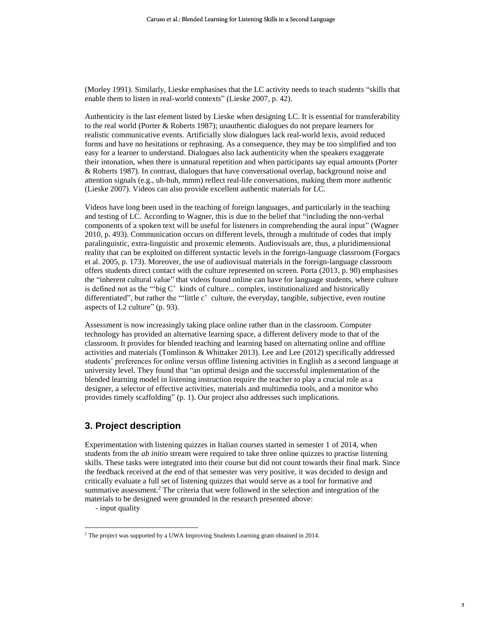(Morley 1991). Similarly, Lieske emphasises that the LC activity needs to teach students "skills that enable them to listen in real-world contexts" (Lieske 2007, p. 42).

Authenticity is the last element listed by Lieske when designing LC. It is essential for transferability to the real world (Porter & Roberts 1987); unauthentic dialogues do not prepare learners for realistic communicative events. Artificially slow dialogues lack real-world lexis, avoid reduced forms and have no hesitations or rephrasing. As a consequence, they may be too simplified and too easy for a learner to understand. Dialogues also lack authenticity when the speakers exaggerate their intonation, when there is unnatural repetition and when participants say equal amounts (Porter & Roberts 1987). In contrast, dialogues that have conversational overlap, background noise and attention signals (e.g., uh-huh, mmm) reflect real-life conversations, making them more authentic (Lieske 2007). Videos can also provide excellent authentic materials for LC.

Videos have long been used in the teaching of foreign languages, and particularly in the teaching and testing of LC. According to Wagner, this is due to the belief that "including the non-verbal components of a spoken text will be useful for listeners in comprehending the aural input" (Wagner 2010, p. 493). Communication occurs on different levels, through a multitude of codes that imply paralinguistic, extra-linguistic and proxemic elements. Audiovisuals are, thus, a pluridimensional reality that can be exploited on different syntactic levels in the foreign-language classroom (Forgacs et al. 2005, p. 173). Moreover, the use of audiovisual materials in the foreign-language classroom offers students direct contact with the culture represented on screen. Porta (2013, p. 90) emphasises the "inherent cultural value" that videos found online can have for language students, where culture is defined not as the "'big C' kinds of culture... complex, institutionalized and historically differentiated", but rather the "'little c' culture, the everyday, tangible, subjective, even routine aspects of L2 culture" (p. 93).

Assessment is now increasingly taking place online rather than in the classroom. Computer technology has provided an alternative learning space, a different delivery mode to that of the classroom. It provides for blended teaching and learning based on alternating online and offline activities and materials (Tomlinson & Whittaker 2013). Lee and Lee (2012) specifically addressed students' preferences for online versus offline listening activities in English as a second language at university level. They found that "an optimal design and the successful implementation of the blended learning model in listening instruction require the teacher to play a crucial role as a designer, a selector of effective activities, materials and multimedia tools, and a monitor who provides timely scaffolding" (p. 1). Our project also addresses such implications.

## **3. Project description**

Experimentation with listening quizzes in Italian courses started in semester 1 of 2014, when students from the *ab initio* stream were required to take three online quizzes to practise listening skills. These tasks were integrated into their course but did not count towards their final mark. Since the feedback received at the end of that semester was very positive, it was decided to design and critically evaluate a full set of listening quizzes that would serve as a tool for formative and summative assessment.<sup>2</sup> The criteria that were followed in the selection and integration of the materials to be designed were grounded in the research presented above:

- input quality

 $2$ <sup>2</sup> The project was supported by a UWA Improving Students Learning grant obtained in 2014.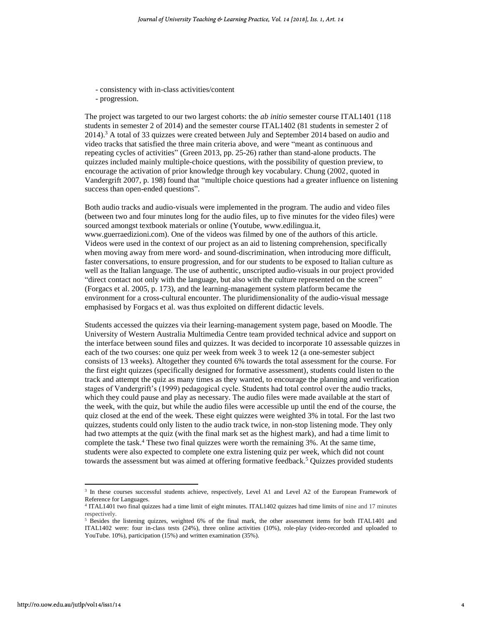- consistency with in-class activities/content
- progression.

The project was targeted to our two largest cohorts: the *ab initio* semester course ITAL1401 (118 students in semester 2 of 2014) and the semester course ITAL1402 (81 students in semester 2 of 2014).<sup>3</sup> A total of 33 quizzes were created between July and September 2014 based on audio and video tracks that satisfied the three main criteria above, and were "meant as continuous and repeating cycles of activities" (Green 2013, pp. 25-26) rather than stand-alone products. The quizzes included mainly multiple-choice questions, with the possibility of question preview, to encourage the activation of prior knowledge through key vocabulary. Chung (2002, quoted in Vandergrift 2007, p. 198) found that "multiple choice questions had a greater influence on listening success than open-ended questions".

Both audio tracks and audio-visuals were implemented in the program. The audio and video files (between two and four minutes long for the audio files, up to five minutes for the video files) were sourced amongst textbook materials or online (Youtube, www.edilingua.it, www.guerraedizioni.com). One of the videos was filmed by one of the authors of this article. Videos were used in the context of our project as an aid to listening comprehension, specifically when moving away from mere word- and sound-discrimination, when introducing more difficult, faster conversations, to ensure progression, and for our students to be exposed to Italian culture as well as the Italian language. The use of authentic, unscripted audio-visuals in our project provided "direct contact not only with the language, but also with the culture represented on the screen" (Forgacs et al. 2005, p. 173), and the learning-management system platform became the environment for a cross-cultural encounter. The pluridimensionality of the audio-visual message emphasised by Forgacs et al. was thus exploited on different didactic levels.

Students accessed the quizzes via their learning-management system page, based on Moodle. The University of Western Australia Multimedia Centre team provided technical advice and support on the interface between sound files and quizzes. It was decided to incorporate 10 assessable quizzes in each of the two courses: one quiz per week from week 3 to week 12 (a one-semester subject consists of 13 weeks). Altogether they counted 6% towards the total assessment for the course. For the first eight quizzes (specifically designed for formative assessment), students could listen to the track and attempt the quiz as many times as they wanted, to encourage the planning and verification stages of Vandergrift's (1999) pedagogical cycle. Students had total control over the audio tracks, which they could pause and play as necessary. The audio files were made available at the start of the week, with the quiz, but while the audio files were accessible up until the end of the course, the quiz closed at the end of the week. These eight quizzes were weighted 3% in total. For the last two quizzes, students could only listen to the audio track twice, in non-stop listening mode. They only had two attempts at the quiz (with the final mark set as the highest mark), and had a time limit to complete the task. <sup>4</sup> These two final quizzes were worth the remaining 3%. At the same time, students were also expected to complete one extra listening quiz per week, which did not count towards the assessment but was aimed at offering formative feedback.<sup>5</sup> Quizzes provided students

<sup>&</sup>lt;sup>3</sup> In these courses successful students achieve, respectively, Level A1 and Level A2 of the European Framework of Reference for Languages.

<sup>4</sup> ITAL1401 two final quizzes had a time limit of eight minutes. ITAL1402 quizzes had time limits of nine and 17 minutes respectively.

<sup>&</sup>lt;sup>5</sup> Besides the listening quizzes, weighted 6% of the final mark, the other assessment items for both ITAL1401 and ITAL1402 were: four in-class tests (24%), three online activities (10%), role-play (video-recorded and uploaded to YouTube. 10%), participation (15%) and written examination (35%).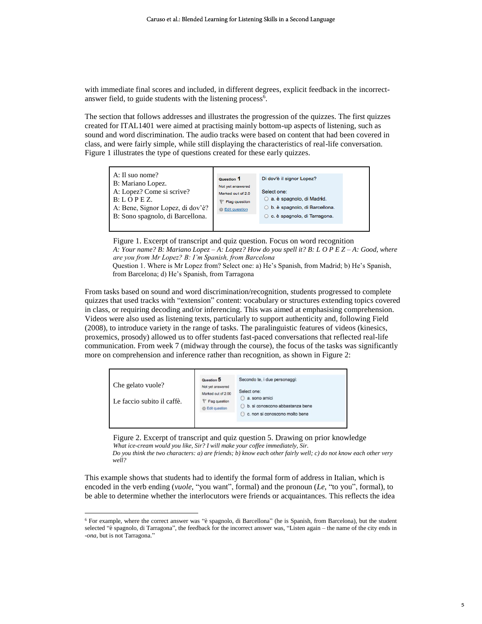with immediate final scores and included, in different degrees, explicit feedback in the incorrectanswer field, to guide students with the listening process<sup>6</sup>.

The section that follows addresses and illustrates the progression of the quizzes. The first quizzes created for ITAL1401 were aimed at practising mainly bottom-up aspects of listening, such as sound and word discrimination. The audio tracks were based on content that had been covered in class, and were fairly simple, while still displaying the characteristics of real-life conversation. Figure 1 illustrates the type of questions created for these early quizzes.



Figure 1. Excerpt of transcript and quiz question. Focus on word recognition *A: Your name? B: Mariano Lopez – A: Lopez? How do you spell it? B: L O P E Z – A: Good, where are you from Mr Lopez? B: I'm Spanish, from Barcelona* Question 1. Where is Mr Lopez from? Select one: a) He's Spanish, from Madrid; b) He's Spanish, from Barcelona; d) He's Spanish, from Tarragona

From tasks based on sound and word discrimination/recognition, students progressed to complete quizzes that used tracks with "extension" content: vocabulary or structures extending topics covered in class, or requiring decoding and/or inferencing. This was aimed at emphasising comprehension. Videos were also used as listening texts, particularly to support authenticity and, following Field (2008), to introduce variety in the range of tasks. The paralinguistic features of videos (kinesics, proxemics, prosody) allowed us to offer students fast-paced conversations that reflected real-life communication. From week 7 (midway through the course), the focus of the tasks was significantly more on comprehension and inference rather than recognition, as shown in Figure 2:

| Che gelato vuole?<br>Le faccio subito il caffè. | Question 5<br>Not yet answered<br>Marked out of 2.00<br>Flag question<br>Edit question | Secondo te, i due personaggi:<br>Select one:<br>a. sono amici<br>b. si conoscono abbastanza bene<br>C. non si conoscono molto bene |  |
|-------------------------------------------------|----------------------------------------------------------------------------------------|------------------------------------------------------------------------------------------------------------------------------------|--|
|-------------------------------------------------|----------------------------------------------------------------------------------------|------------------------------------------------------------------------------------------------------------------------------------|--|

Figure 2. Excerpt of transcript and quiz question 5. Drawing on prior knowledge *What ice-cream would you like, Sir? I will make your coffee immediately, Sir. Do you think the two characters: a) are friends; b) know each other fairly well; c) do not know each other very well?*

This example shows that students had to identify the formal form of address in Italian, which is encoded in the verb ending (*vuole*, "you want", formal) and the pronoun (*Le*, "to you", formal), to be able to determine whether the interlocutors were friends or acquaintances. This reflects the idea

<sup>6</sup> For example, where the correct answer was "è spagnolo, di Barcellona" (he is Spanish, from Barcelona), but the student selected "è spagnolo, di Tarragona", the feedback for the incorrect answer was, "Listen again – the name of the city ends in -*ona*, but is not Tarragona."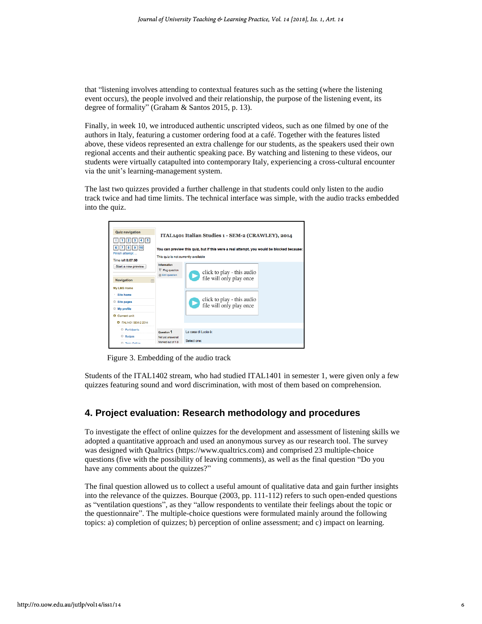that "listening involves attending to contextual features such as the setting (where the listening event occurs), the people involved and their relationship, the purpose of the listening event, its degree of formality" (Graham & Santos 2015, p. 13).

Finally, in week 10, we introduced authentic unscripted videos, such as one filmed by one of the authors in Italy, featuring a customer ordering food at a café. Together with the features listed above, these videos represented an extra challenge for our students, as the speakers used their own regional accents and their authentic speaking pace. By watching and listening to these videos, our students were virtually catapulted into contemporary Italy, experiencing a cross-cultural encounter via the unit's learning-management system.

The last two quizzes provided a further challenge in that students could only listen to the audio track twice and had time limits. The technical interface was simple, with the audio tracks embedded into the quiz.



Figure 3. Embedding of the audio track

Students of the ITAL1402 stream, who had studied ITAL1401 in semester 1, were given only a few quizzes featuring sound and word discrimination, with most of them based on comprehension.

## **4. Project evaluation: Research methodology and procedures**

To investigate the effect of online quizzes for the development and assessment of listening skills we adopted a quantitative approach and used an anonymous survey as our research tool. The survey was designed with Qualtrics (https://www.qualtrics.com) and comprised 23 multiple-choice questions (five with the possibility of leaving comments), as well as the final question "Do you have any comments about the quizzes?"

The final question allowed us to collect a useful amount of qualitative data and gain further insights into the relevance of the quizzes. Bourque (2003, pp. 111-112) refers to such open-ended questions as "ventilation questions", as they "allow respondents to ventilate their feelings about the topic or the questionnaire". The multiple-choice questions were formulated mainly around the following topics: a) completion of quizzes; b) perception of online assessment; and c) impact on learning.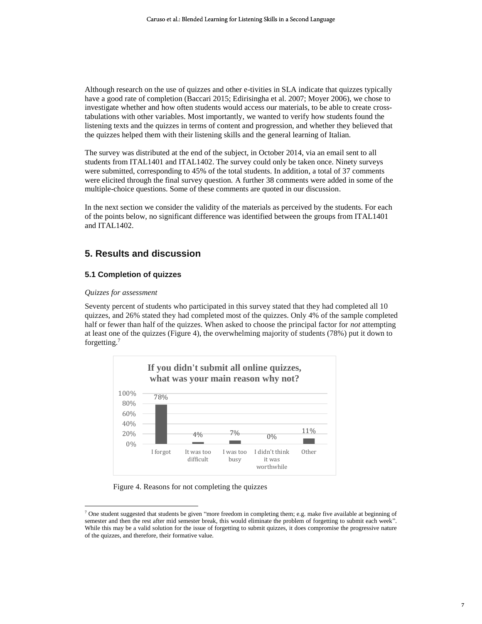Although research on the use of quizzes and other e-tivities in SLA indicate that quizzes typically have a good rate of completion (Baccari 2015; Edirisingha et al. 2007; Moyer 2006), we chose to investigate whether and how often students would access our materials, to be able to create crosstabulations with other variables. Most importantly, we wanted to verify how students found the listening texts and the quizzes in terms of content and progression, and whether they believed that the quizzes helped them with their listening skills and the general learning of Italian.

The survey was distributed at the end of the subject, in October 2014, via an email sent to all students from ITAL1401 and ITAL1402. The survey could only be taken once. Ninety surveys were submitted, corresponding to 45% of the total students. In addition, a total of 37 comments were elicited through the final survey question. A further 38 comments were added in some of the multiple-choice questions. Some of these comments are quoted in our discussion.

In the next section we consider the validity of the materials as perceived by the students. For each of the points below, no significant difference was identified between the groups from ITAL1401 and ITAL1402.

## **5. Results and discussion**

#### **5.1 Completion of quizzes**

#### *Quizzes for assessment*

 $\overline{a}$ 

Seventy percent of students who participated in this survey stated that they had completed all 10 quizzes, and 26% stated they had completed most of the quizzes. Only 4% of the sample completed half or fewer than half of the quizzes. When asked to choose the principal factor for *not* attempting at least one of the quizzes (Figure 4), the overwhelming majority of students (78%) put it down to forgetting. 7



Figure 4. Reasons for not completing the quizzes

<sup>&</sup>lt;sup>7</sup> One student suggested that students be given "more freedom in completing them; e.g. make five available at beginning of semester and then the rest after mid semester break, this would eliminate the problem of forgetting to submit each week". While this may be a valid solution for the issue of forgetting to submit quizzes, it does compromise the progressive nature of the quizzes, and therefore, their formative value.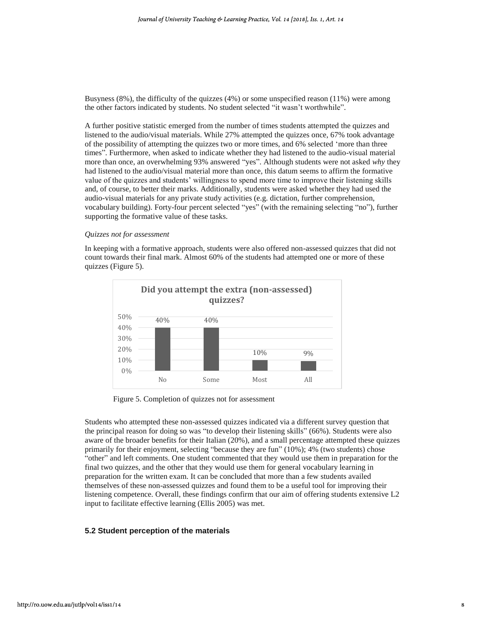Busyness (8%), the difficulty of the quizzes (4%) or some unspecified reason (11%) were among the other factors indicated by students. No student selected "it wasn't worthwhile".

A further positive statistic emerged from the number of times students attempted the quizzes and listened to the audio/visual materials. While 27% attempted the quizzes once, 67% took advantage of the possibility of attempting the quizzes two or more times, and 6% selected 'more than three times". Furthermore, when asked to indicate whether they had listened to the audio-visual material more than once, an overwhelming 93% answered "yes". Although students were not asked *why* they had listened to the audio/visual material more than once, this datum seems to affirm the formative value of the quizzes and students' willingness to spend more time to improve their listening skills and, of course, to better their marks. Additionally, students were asked whether they had used the audio-visual materials for any private study activities (e.g. dictation, further comprehension, vocabulary building). Forty-four percent selected "yes" (with the remaining selecting "no"), further supporting the formative value of these tasks.

#### *Quizzes not for assessment*

In keeping with a formative approach, students were also offered non-assessed quizzes that did not count towards their final mark. Almost 60% of the students had attempted one or more of these quizzes (Figure 5).



Figure 5. Completion of quizzes not for assessment

Students who attempted these non-assessed quizzes indicated via a different survey question that the principal reason for doing so was "to develop their listening skills" (66%). Students were also aware of the broader benefits for their Italian (20%), and a small percentage attempted these quizzes primarily for their enjoyment, selecting "because they are fun" (10%); 4% (two students) chose "other" and left comments. One student commented that they would use them in preparation for the final two quizzes, and the other that they would use them for general vocabulary learning in preparation for the written exam. It can be concluded that more than a few students availed themselves of these non-assessed quizzes and found them to be a useful tool for improving their listening competence. Overall, these findings confirm that our aim of offering students extensive L2 input to facilitate effective learning (Ellis 2005) was met.

#### **5.2 Student perception of the materials**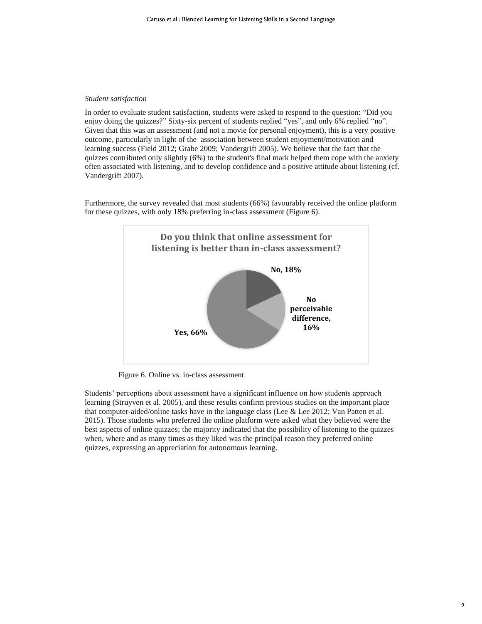#### *Student satisfaction*

In order to evaluate student satisfaction, students were asked to respond to the question: "Did you enjoy doing the quizzes?" Sixty-six percent of students replied "yes", and only 6% replied "no". Given that this was an assessment (and not a movie for personal enjoyment), this is a very positive outcome, particularly in light of the association between student enjoyment/motivation and learning success (Field 2012; Grabe 2009; Vandergrift 2005). We believe that the fact that the quizzes contributed only slightly (6%) to the student's final mark helped them cope with the anxiety often associated with listening, and to develop confidence and a positive attitude about listening (cf. Vandergrift 2007).

Furthermore, the survey revealed that most students (66%) favourably received the online platform for these quizzes, with only 18% preferring in-class assessment (Figure 6).



Figure 6. Online vs. in-class assessment

Students' perceptions about assessment have a significant influence on how students approach learning (Struyven et al. 2005), and these results confirm previous studies on the important place that computer-aided/online tasks have in the language class (Lee & Lee 2012; Van Patten et al. 2015). Those students who preferred the online platform were asked what they believed were the best aspects of online quizzes; the majority indicated that the possibility of listening to the quizzes when, where and as many times as they liked was the principal reason they preferred online quizzes, expressing an appreciation for autonomous learning.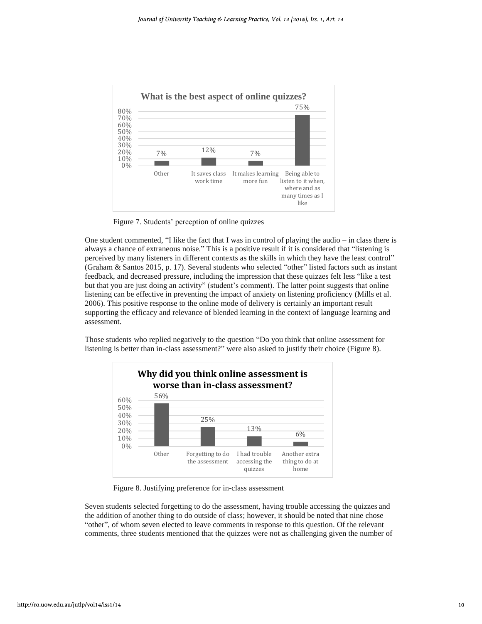

Figure 7. Students' perception of online quizzes

One student commented, "I like the fact that I was in control of playing the audio – in class there is always a chance of extraneous noise." This is a positive result if it is considered that "listening is perceived by many listeners in different contexts as the skills in which they have the least control" (Graham & Santos 2015, p. 17). Several students who selected "other" listed factors such as instant feedback, and decreased pressure, including the impression that these quizzes felt less "like a test but that you are just doing an activity" (student's comment). The latter point suggests that online listening can be effective in preventing the impact of anxiety on listening proficiency (Mills et al. 2006). This positive response to the online mode of delivery is certainly an important result supporting the efficacy and relevance of blended learning in the context of language learning and assessment.

Those students who replied negatively to the question "Do you think that online assessment for listening is better than in-class assessment?" were also asked to justify their choice (Figure 8).



Figure 8. Justifying preference for in-class assessment

Seven students selected forgetting to do the assessment, having trouble accessing the quizzes and the addition of another thing to do outside of class; however, it should be noted that nine chose "other", of whom seven elected to leave comments in response to this question. Of the relevant comments, three students mentioned that the quizzes were not as challenging given the number of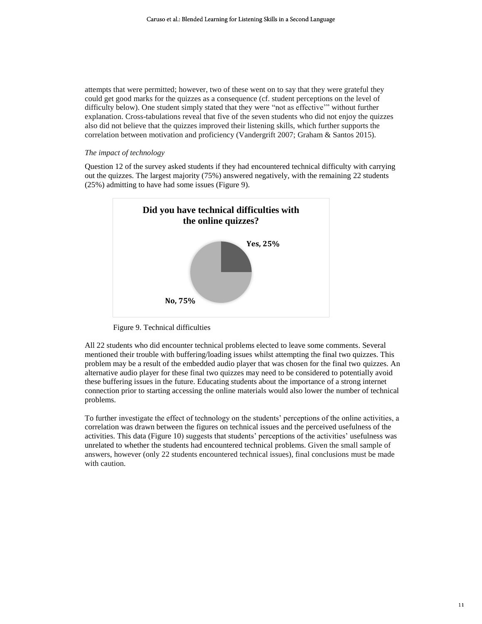attempts that were permitted; however, two of these went on to say that they were grateful they could get good marks for the quizzes as a consequence (cf. student perceptions on the level of difficulty below). One student simply stated that they were "not as effective'" without further explanation. Cross-tabulations reveal that five of the seven students who did not enjoy the quizzes also did not believe that the quizzes improved their listening skills, which further supports the correlation between motivation and proficiency (Vandergrift 2007; Graham & Santos 2015).

#### *The impact of technology*

Question 12 of the survey asked students if they had encountered technical difficulty with carrying out the quizzes. The largest majority (75%) answered negatively, with the remaining 22 students (25%) admitting to have had some issues (Figure 9).



Figure 9. Technical difficulties

All 22 students who did encounter technical problems elected to leave some comments. Several mentioned their trouble with buffering/loading issues whilst attempting the final two quizzes. This problem may be a result of the embedded audio player that was chosen for the final two quizzes. An alternative audio player for these final two quizzes may need to be considered to potentially avoid these buffering issues in the future. Educating students about the importance of a strong internet connection prior to starting accessing the online materials would also lower the number of technical problems.

To further investigate the effect of technology on the students' perceptions of the online activities, a correlation was drawn between the figures on technical issues and the perceived usefulness of the activities. This data (Figure 10) suggests that students' perceptions of the activities' usefulness was unrelated to whether the students had encountered technical problems. Given the small sample of answers, however (only 22 students encountered technical issues), final conclusions must be made with caution.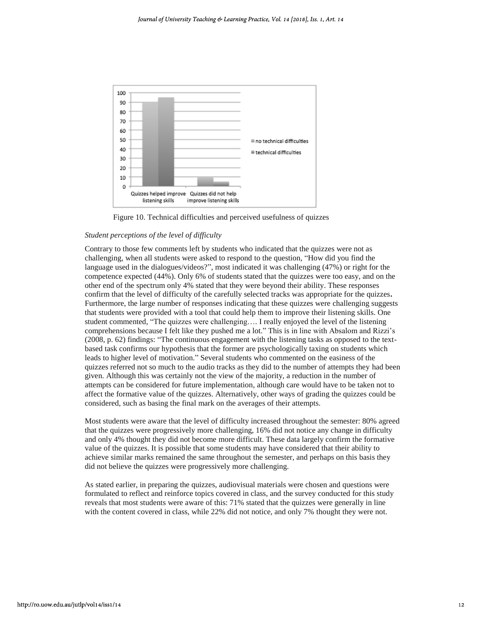

Figure 10. Technical difficulties and perceived usefulness of quizzes

#### *Student perceptions of the level of difficulty*

Contrary to those few comments left by students who indicated that the quizzes were not as challenging, when all students were asked to respond to the question, "How did you find the language used in the dialogues/videos?", most indicated it was challenging (47%) or right for the competence expected (44%). Only 6% of students stated that the quizzes were too easy, and on the other end of the spectrum only 4% stated that they were beyond their ability. These responses confirm that the level of difficulty of the carefully selected tracks was appropriate for the quizzes**.**  Furthermore, the large number of responses indicating that these quizzes were challenging suggests that students were provided with a tool that could help them to improve their listening skills. One student commented, "The quizzes were challenging…. I really enjoyed the level of the listening comprehensions because I felt like they pushed me a lot." This is in line with Absalom and Rizzi's (2008, p. 62) findings: "The continuous engagement with the listening tasks as opposed to the textbased task confirms our hypothesis that the former are psychologically taxing on students which leads to higher level of motivation." Several students who commented on the easiness of the quizzes referred not so much to the audio tracks as they did to the number of attempts they had been given. Although this was certainly not the view of the majority, a reduction in the number of attempts can be considered for future implementation, although care would have to be taken not to affect the formative value of the quizzes. Alternatively, other ways of grading the quizzes could be considered, such as basing the final mark on the averages of their attempts.

Most students were aware that the level of difficulty increased throughout the semester: 80% agreed that the quizzes were progressively more challenging, 16% did not notice any change in difficulty and only 4% thought they did not become more difficult. These data largely confirm the formative value of the quizzes. It is possible that some students may have considered that their ability to achieve similar marks remained the same throughout the semester, and perhaps on this basis they did not believe the quizzes were progressively more challenging.

As stated earlier, in preparing the quizzes, audiovisual materials were chosen and questions were formulated to reflect and reinforce topics covered in class, and the survey conducted for this study reveals that most students were aware of this: 71% stated that the quizzes were generally in line with the content covered in class, while 22% did not notice, and only 7% thought they were not.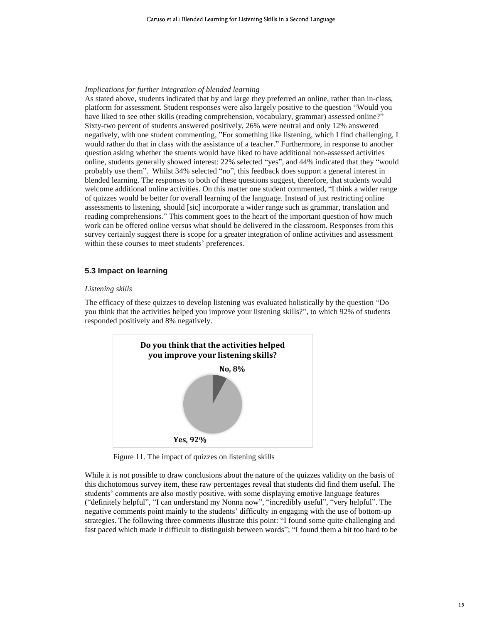#### *Implications for further integration of blended learning*

As stated above, students indicated that by and large they preferred an online, rather than in-class, platform for assessment. Student responses were also largely positive to the question "Would you have liked to see other skills (reading comprehension, vocabulary, grammar) assessed online?" Sixty-two percent of students answered positively, 26% were neutral and only 12% answered negatively, with one student commenting, "For something like listening, which I find challenging, I would rather do that in class with the assistance of a teacher." Furthermore, in response to another question asking whether the stuents would have liked to have additional non-assessed activities online, students generally showed interest: 22% selected "yes", and 44% indicated that they "would probably use them". Whilst 34% selected "no", this feedback does support a general interest in blended learning. The responses to both of these questions suggest, therefore, that students would welcome additional online activities. On this matter one student commented, "I think a wider range of quizzes would be better for overall learning of the language. Instead of just restricting online assessments to listening, should [sic] incorporate a wider range such as grammar, translation and reading comprehensions." This comment goes to the heart of the important question of how much work can be offered online versus what should be delivered in the classroom. Responses from this survey certainly suggest there is scope for a greater integration of online activities and assessment within these courses to meet students' preferences.

#### **5.3 Impact on learning**

#### *Listening skills*

The efficacy of these quizzes to develop listening was evaluated holistically by the question "Do you think that the activities helped you improve your listening skills?", to which 92% of students responded positively and 8% negatively.



Figure 11. The impact of quizzes on listening skills

While it is not possible to draw conclusions about the nature of the quizzes validity on the basis of this dichotomous survey item, these raw percentages reveal that students did find them useful. The students' comments are also mostly positive, with some displaying emotive language features ("definitely helpful", "I can understand my Nonna now", "incredibly useful", "very helpful". The negative comments point mainly to the students' difficulty in engaging with the use of bottom-up strategies. The following three comments illustrate this point: "I found some quite challenging and fast paced which made it difficult to distinguish between words"; "I found them a bit too hard to be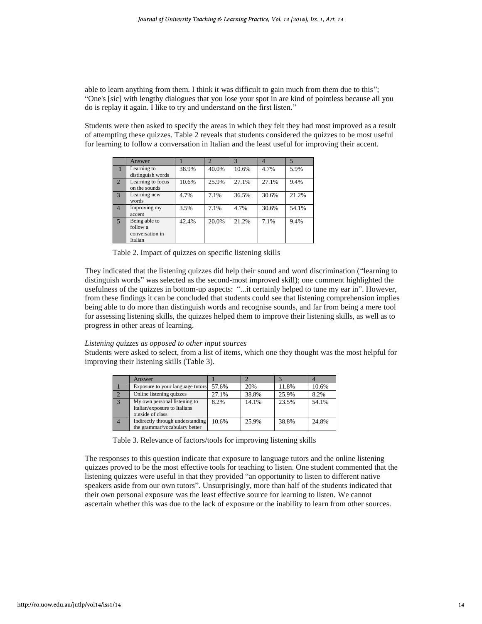able to learn anything from them. I think it was difficult to gain much from them due to this"; "One's [sic] with lengthy dialogues that you lose your spot in are kind of pointless because all you do is replay it again. I like to try and understand on the first listen."

Students were then asked to specify the areas in which they felt they had most improved as a result of attempting these quizzes. Table 2 reveals that students considered the quizzes to be most useful for learning to follow a conversation in Italian and the least useful for improving their accent.

|                | Answer                                                  |       | $\mathcal{D}$ | $\overline{\mathcal{E}}$ | 4     |       |
|----------------|---------------------------------------------------------|-------|---------------|--------------------------|-------|-------|
|                | Learning to<br>distinguish words                        | 38.9% | 40.0%         | 10.6%                    | 4.7%  | 5.9%  |
| $\overline{2}$ | Learning to focus<br>on the sounds                      | 10.6% | 25.9%         | 27.1%                    | 27.1% | 9.4%  |
| 3              | Learning new<br>words                                   | 4.7%  | 7.1%          | 36.5%                    | 30.6% | 21.2% |
| $\overline{4}$ | Improving my<br>accent                                  | 3.5%  | 7.1%          | 4.7%                     | 30.6% | 54.1% |
| $\overline{5}$ | Being able to<br>follow a<br>conversation in<br>Italian | 42.4% | 20.0%         | 21.2%                    | 7.1%  | 9.4%  |

Table 2. Impact of quizzes on specific listening skills

They indicated that the listening quizzes did help their sound and word discrimination ("learning to distinguish words" was selected as the second-most improved skill); one comment highlighted the usefulness of the quizzes in bottom-up aspects: "...it certainly helped to tune my ear in". However, from these findings it can be concluded that students could see that listening comprehension implies being able to do more than distinguish words and recognise sounds, and far from being a mere tool for assessing listening skills, the quizzes helped them to improve their listening skills, as well as to progress in other areas of learning.

#### *Listening quizzes as opposed to other input sources*

Students were asked to select, from a list of items, which one they thought was the most helpful for improving their listening skills (Table 3).

|                | Answer                                                                           |       |       |       |       |
|----------------|----------------------------------------------------------------------------------|-------|-------|-------|-------|
|                | Exposure to your language tutors                                                 | 57.6% | 20%   | 11.8% | 10.6% |
|                | Online listening quizzes                                                         | 27.1% | 38.8% | 25.9% | 8.2%  |
| $\overline{3}$ | My own personal listening to<br>Italian/exposure to Italians<br>outside of class | 8.2%  | 14.1% | 23.5% | 54.1% |
|                | Indirectly through understanding<br>the grammar/vocabulary better                | 10.6% | 25.9% | 38.8% | 24.8% |

Table 3. Relevance of factors/tools for improving listening skills

The responses to this question indicate that exposure to language tutors and the online listening quizzes proved to be the most effective tools for teaching to listen. One student commented that the listening quizzes were useful in that they provided "an opportunity to listen to different native speakers aside from our own tutors". Unsurprisingly, more than half of the students indicated that their own personal exposure was the least effective source for learning to listen. We cannot ascertain whether this was due to the lack of exposure or the inability to learn from other sources.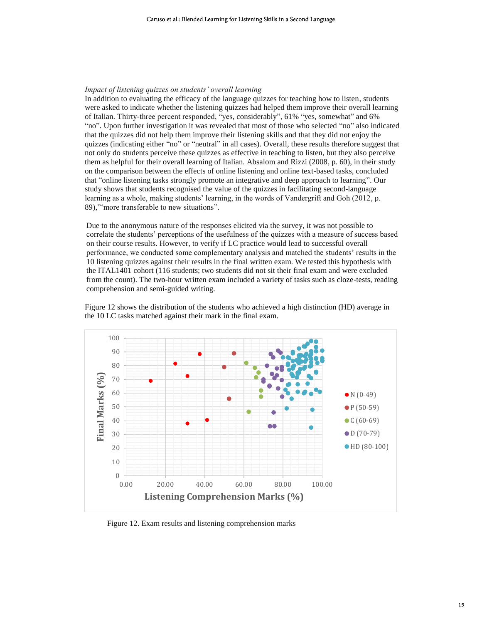#### *Impact of listening quizzes on students' overall learning*

In addition to evaluating the efficacy of the language quizzes for teaching how to listen, students were asked to indicate whether the listening quizzes had helped them improve their overall learning of Italian. Thirty-three percent responded, "yes, considerably", 61% "yes, somewhat" and 6% "no". Upon further investigation it was revealed that most of those who selected "no" also indicated that the quizzes did not help them improve their listening skills and that they did not enjoy the quizzes (indicating either "no" or "neutral" in all cases). Overall, these results therefore suggest that not only do students perceive these quizzes as effective in teaching to listen, but they also perceive them as helpful for their overall learning of Italian. Absalom and Rizzi (2008, p. 60), in their study on the comparison between the effects of online listening and online text-based tasks, concluded that "online listening tasks strongly promote an integrative and deep approach to learning". Our study shows that students recognised the value of the quizzes in facilitating second-language learning as a whole, making students' learning, in the words of Vandergrift and Goh (2012, p. 89),"'more transferable to new situations".

Due to the anonymous nature of the responses elicited via the survey, it was not possible to correlate the students' perceptions of the usefulness of the quizzes with a measure of success based on their course results. However, to verify if LC practice would lead to successful overall performance, we conducted some complementary analysis and matched the students' results in the 10 listening quizzes against their results in the final written exam. We tested this hypothesis with the ITAL1401 cohort (116 students; two students did not sit their final exam and were excluded from the count). The two-hour written exam included a variety of tasks such as cloze-tests, reading comprehension and semi-guided writing.

Figure 12 shows the distribution of the students who achieved a high distinction (HD) average in the 10 LC tasks matched against their mark in the final exam.



Figure 12. Exam results and listening comprehension marks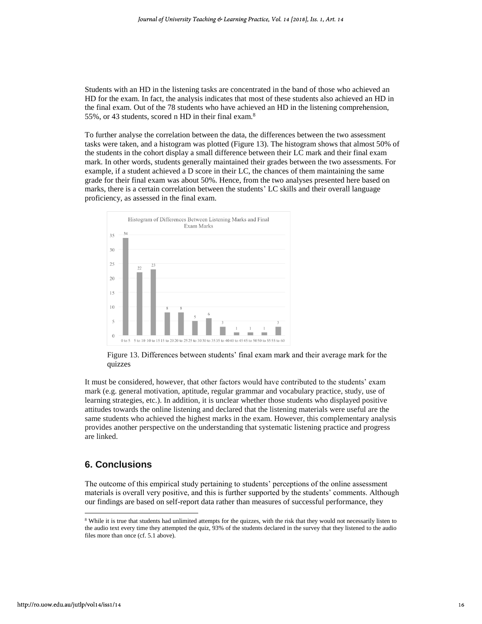Students with an HD in the listening tasks are concentrated in the band of those who achieved an HD for the exam. In fact, the analysis indicates that most of these students also achieved an HD in the final exam. Out of the 78 students who have achieved an HD in the listening comprehension, 55%, or 43 students, scored n HD in their final exam.<sup>8</sup>

To further analyse the correlation between the data, the differences between the two assessment tasks were taken, and a histogram was plotted (Figure 13). The histogram shows that almost 50% of the students in the cohort display a small difference between their LC mark and their final exam mark. In other words, students generally maintained their grades between the two assessments. For example, if a student achieved a D score in their LC, the chances of them maintaining the same grade for their final exam was about 50%. Hence, from the two analyses presented here based on marks, there is a certain correlation between the students' LC skills and their overall language proficiency, as assessed in the final exam.



Figure 13. Differences between students' final exam mark and their average mark for the quizzes

It must be considered, however, that other factors would have contributed to the students' exam mark (e.g. general motivation, aptitude, regular grammar and vocabulary practice, study, use of learning strategies, etc.). In addition, it is unclear whether those students who displayed positive attitudes towards the online listening and declared that the listening materials were useful are the same students who achieved the highest marks in the exam. However, this complementary analysis provides another perspective on the understanding that systematic listening practice and progress are linked.

## **6. Conclusions**

The outcome of this empirical study pertaining to students' perceptions of the online assessment materials is overall very positive, and this is further supported by the students' comments. Although our findings are based on self-report data rather than measures of successful performance, they

<sup>&</sup>lt;sup>8</sup> While it is true that students had unlimited attempts for the quizzes, with the risk that they would not necessarily listen to the audio text every time they attempted the quiz, 93% of the students declared in the survey that they listened to the audio files more than once (cf. 5.1 above).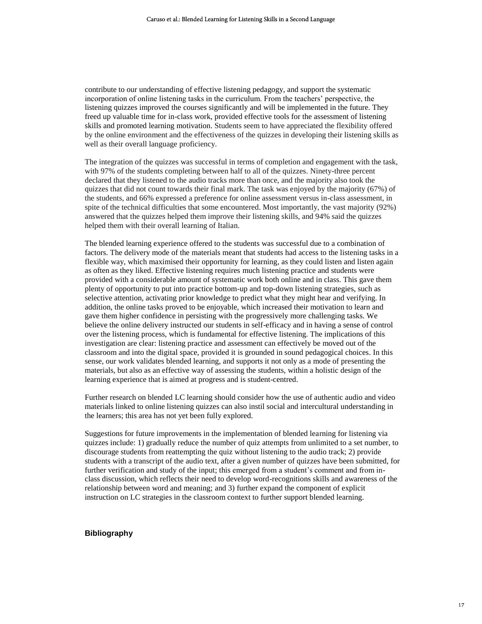contribute to our understanding of effective listening pedagogy, and support the systematic incorporation of online listening tasks in the curriculum. From the teachers' perspective, the listening quizzes improved the courses significantly and will be implemented in the future. They freed up valuable time for in-class work, provided effective tools for the assessment of listening skills and promoted learning motivation. Students seem to have appreciated the flexibility offered by the online environment and the effectiveness of the quizzes in developing their listening skills as well as their overall language proficiency.

The integration of the quizzes was successful in terms of completion and engagement with the task, with 97% of the students completing between half to all of the quizzes. Ninety-three percent declared that they listened to the audio tracks more than once, and the majority also took the quizzes that did not count towards their final mark. The task was enjoyed by the majority (67%) of the students, and 66% expressed a preference for online assessment versus in-class assessment, in spite of the technical difficulties that some encountered. Most importantly, the vast majority (92%) answered that the quizzes helped them improve their listening skills, and 94% said the quizzes helped them with their overall learning of Italian.

The blended learning experience offered to the students was successful due to a combination of factors. The delivery mode of the materials meant that students had access to the listening tasks in a flexible way, which maximised their opportunity for learning, as they could listen and listen again as often as they liked. Effective listening requires much listening practice and students were provided with a considerable amount of systematic work both online and in class. This gave them plenty of opportunity to put into practice bottom-up and top-down listening strategies, such as selective attention, activating prior knowledge to predict what they might hear and verifying. In addition, the online tasks proved to be enjoyable, which increased their motivation to learn and gave them higher confidence in persisting with the progressively more challenging tasks. We believe the online delivery instructed our students in self-efficacy and in having a sense of control over the listening process, which is fundamental for effective listening. The implications of this investigation are clear: listening practice and assessment can effectively be moved out of the classroom and into the digital space, provided it is grounded in sound pedagogical choices. In this sense, our work validates blended learning, and supports it not only as a mode of presenting the materials, but also as an effective way of assessing the students, within a holistic design of the learning experience that is aimed at progress and is student-centred.

Further research on blended LC learning should consider how the use of authentic audio and video materials linked to online listening quizzes can also instil social and intercultural understanding in the learners; this area has not yet been fully explored.

Suggestions for future improvements in the implementation of blended learning for listening via quizzes include: 1) gradually reduce the number of quiz attempts from unlimited to a set number, to discourage students from reattempting the quiz without listening to the audio track; 2) provide students with a transcript of the audio text, after a given number of quizzes have been submitted, for further verification and study of the input; this emerged from a student's comment and from inclass discussion, which reflects their need to develop word-recognitions skills and awareness of the relationship between word and meaning; and 3) further expand the component of explicit instruction on LC strategies in the classroom context to further support blended learning.

#### **Bibliography**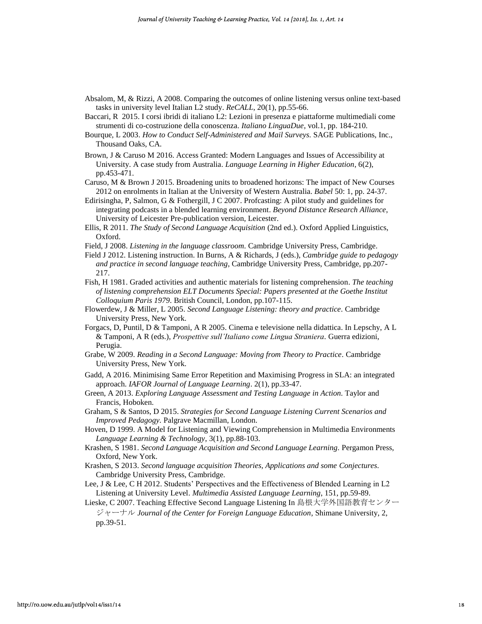- Absalom, M, & Rizzi, A 2008. Comparing the outcomes of online listening versus online text-based tasks in university level Italian L2 study. *ReCALL*, 20(1), pp.55-66.
- Baccari, R 2015. I corsi ibridi di italiano L2: Lezioni in presenza e piattaforme multimediali come strumenti di co-costruzione della conoscenza. *Italiano LinguaDue*, vol.1, pp. 184-210.
- Bourque, L 2003. *How to Conduct Self-Administered and Mail Surveys.* SAGE Publications, Inc., Thousand Oaks, CA.
- Brown, J & Caruso M 2016. Access Granted: Modern Languages and Issues of Accessibility at University. A case study from Australia. *Language Learning in Higher Education*, 6(2), pp.453-471.
- Caruso, M & Brown J 2015. Broadening units to broadened horizons: The impact of New Courses 2012 on enrolments in Italian at the University of Western Australia. *Babel* 50: 1, pp. 24-37.
- Edirisingha, P, Salmon, G & Fothergill, J C 2007. Profcasting: A pilot study and guidelines for integrating podcasts in a blended learning environment. *Beyond Distance Research Alliance*, University of Leicester Pre-publication version, Leicester.
- Ellis, R 2011. *The Study of Second Language Acquisition* (2nd ed.). Oxford Applied Linguistics, Oxford.
- Field, J 2008. *Listening in the language classroom.* Cambridge University Press, Cambridge.
- Field J 2012. Listening instruction. In Burns, A & Richards, J (eds.), *Cambridge guide to pedagogy and practice in second language teaching*, Cambridge University Press, Cambridge, pp.207- 217.
- Fish, H 1981. Graded activities and authentic materials for listening comprehension. *The teaching of listening comprehension ELT Documents Special: Papers presented at the Goethe Institut Colloquium Paris 1979*. British Council, London, pp.107-115.
- Flowerdew, J & Miller, L 2005. *Second Language Listening: theory and practice.* Cambridge University Press, New York.
- Forgacs, D, Puntil, D & Tamponi, A R 2005. Cinema e televisione nella didattica. In Lepschy, A L & Tamponi, A R (eds.), *Prospettive sull'Italiano come Lingua Straniera.* Guerra edizioni, Perugia.
- Grabe, W 2009. *Reading in a Second Language: Moving from Theory to Practice.* Cambridge University Press, New York.
- Gadd, A 2016. Minimising Same Error Repetition and Maximising Progress in SLA: an integrated approach. *IAFOR Journal of Language Learning*. 2(1), pp.33-47.
- Green, A 2013. *Exploring Language Assessment and Testing Language in Action.* Taylor and Francis, Hoboken.
- Graham, S & Santos, D 2015. *Strategies for Second Language Listening Current Scenarios and Improved Pedagogy.* Palgrave Macmillan, London.
- Hoven, D 1999. A Model for Listening and Viewing Comprehension in Multimedia Environments *Language Learning & Technology*, 3(1), pp.88-103.
- Krashen, S 1981. *Second Language Acquisition and Second Language Learning.* Pergamon Press, Oxford, New York.
- Krashen, S 2013. *Second language acquisition Theories, Applications and some Conjectures*. Cambridge University Press, Cambridge.
- Lee, J & Lee, C H 2012. Students' Perspectives and the Effectiveness of Blended Learning in L2 Listening at University Level. *Multimedia Assisted Language Learning*, 151, pp.59-89.

Lieske, C 2007. Teaching Effective Second Language Listening In 島根大学外国語教育センター ジャーナル *Journal of the Center for Foreign Language Education*, Shimane University, 2, pp.39-51.